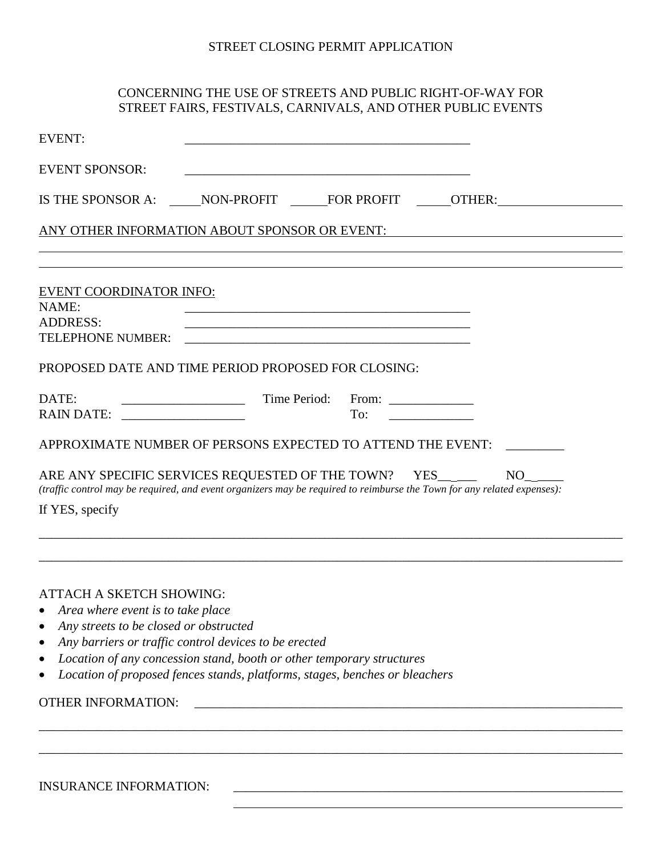#### STREET CLOSING PERMIT APPLICATION

### CONCERNING THE USE OF STREETS AND PUBLIC RIGHT-OF-WAY FOR STREET FAIRS, FESTIVALS, CARNIVALS, AND OTHER PUBLIC EVENTS

| <b>EVENT:</b>                                                                   |                                                                             |                                                                                                                      |                                                                                                                               |
|---------------------------------------------------------------------------------|-----------------------------------------------------------------------------|----------------------------------------------------------------------------------------------------------------------|-------------------------------------------------------------------------------------------------------------------------------|
| <b>EVENT SPONSOR:</b>                                                           |                                                                             |                                                                                                                      |                                                                                                                               |
|                                                                                 |                                                                             |                                                                                                                      | IS THE SPONSOR A: NON-PROFIT FOR PROFIT OTHER:                                                                                |
|                                                                                 |                                                                             |                                                                                                                      | ANY OTHER INFORMATION ABOUT SPONSOR OR EVENT:                                                                                 |
|                                                                                 |                                                                             |                                                                                                                      |                                                                                                                               |
| <b>EVENT COORDINATOR INFO:</b><br>NAME:<br><b>ADDRESS:</b><br>TELEPHONE NUMBER: |                                                                             | <u> 1989 - Johann John Stone, markin film yn y brenin y brenin y brenin y brenin y brenin y brenin y brenin y br</u> |                                                                                                                               |
| PROPOSED DATE AND TIME PERIOD PROPOSED FOR CLOSING:                             |                                                                             |                                                                                                                      |                                                                                                                               |
| DATE:<br>RAIN DATE: ___________________                                         | Time Period:                                                                | From: $\qquad \qquad$<br>To:                                                                                         |                                                                                                                               |
| APPROXIMATE NUMBER OF PERSONS EXPECTED TO ATTEND THE EVENT:                     |                                                                             |                                                                                                                      |                                                                                                                               |
| ARE ANY SPECIFIC SERVICES REQUESTED OF THE TOWN? YES____<br>If YES, specify     |                                                                             |                                                                                                                      | NO<br>(traffic control may be required, and event organizers may be required to reimburse the Town for any related expenses): |
|                                                                                 |                                                                             |                                                                                                                      |                                                                                                                               |
| <b>ATTACH A SKETCH SHOWING:</b>                                                 |                                                                             |                                                                                                                      |                                                                                                                               |
| Area where event is to take place<br>Any streets to be closed or obstructed     |                                                                             |                                                                                                                      |                                                                                                                               |
| ٠                                                                               | Any barriers or traffic control devices to be erected                       |                                                                                                                      |                                                                                                                               |
| ٠                                                                               | Location of any concession stand, booth or other temporary structures       |                                                                                                                      |                                                                                                                               |
|                                                                                 | Location of proposed fences stands, platforms, stages, benches or bleachers |                                                                                                                      |                                                                                                                               |
| <b>OTHER INFORMATION:</b>                                                       |                                                                             |                                                                                                                      |                                                                                                                               |
|                                                                                 |                                                                             |                                                                                                                      |                                                                                                                               |
|                                                                                 |                                                                             |                                                                                                                      |                                                                                                                               |
| <b>INSURANCE INFORMATION:</b>                                                   |                                                                             |                                                                                                                      |                                                                                                                               |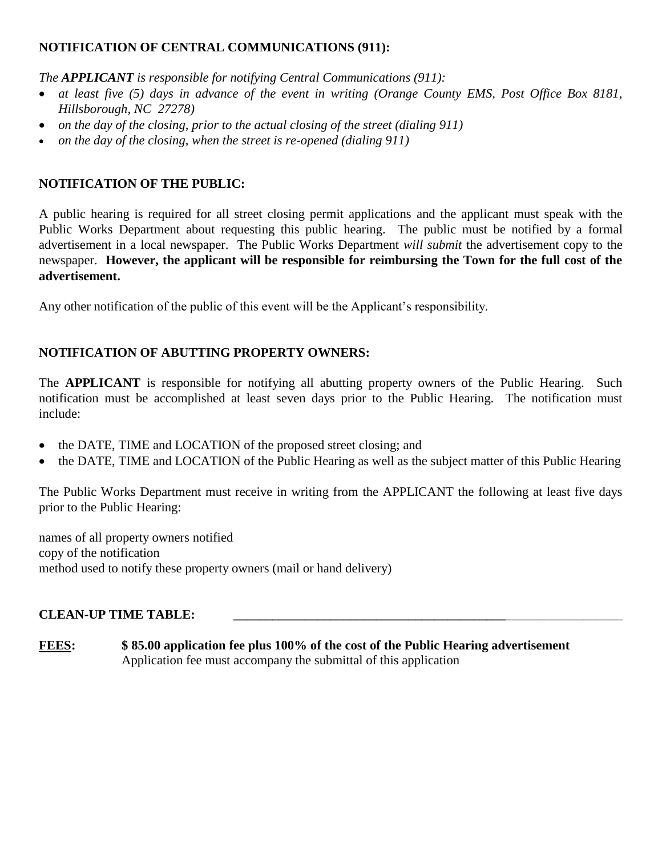## **NOTIFICATION OF CENTRAL COMMUNICATIONS (911):**

*The APPLICANT is responsible for notifying Central Communications (911):* 

- *at least five (5) days in advance of the event in writing (Orange County EMS, Post Office Box 8181, Hillsborough, NC 27278)*
- *on the day of the closing, prior to the actual closing of the street (dialing 911)*
- *on the day of the closing, when the street is re-opened (dialing 911)*

### **NOTIFICATION OF THE PUBLIC:**

A public hearing is required for all street closing permit applications and the applicant must speak with the Public Works Department about requesting this public hearing. The public must be notified by a formal advertisement in a local newspaper. The Public Works Department *will submit* the advertisement copy to the newspaper. **However, the applicant will be responsible for reimbursing the Town for the full cost of the advertisement.**

Any other notification of the public of this event will be the Applicant's responsibility.

### **NOTIFICATION OF ABUTTING PROPERTY OWNERS:**

The **APPLICANT** is responsible for notifying all abutting property owners of the Public Hearing. Such notification must be accomplished at least seven days prior to the Public Hearing. The notification must include:

- the DATE, TIME and LOCATION of the proposed street closing; and
- the DATE, TIME and LOCATION of the Public Hearing as well as the subject matter of this Public Hearing

The Public Works Department must receive in writing from the APPLICANT the following at least five days prior to the Public Hearing:

names of all property owners notified copy of the notification method used to notify these property owners (mail or hand delivery)

#### **CLEAN-UP TIME TABLE: \_\_\_\_\_\_\_\_\_\_\_\_\_\_\_\_\_\_\_\_\_\_\_\_\_\_\_\_\_\_\_\_\_\_\_\_\_\_\_\_\_\_**\_\_\_\_\_\_\_\_\_\_\_\_\_\_\_\_\_\_

**FEES: \$ 85.00 application fee plus 100% of the cost of the Public Hearing advertisement** Application fee must accompany the submittal of this application